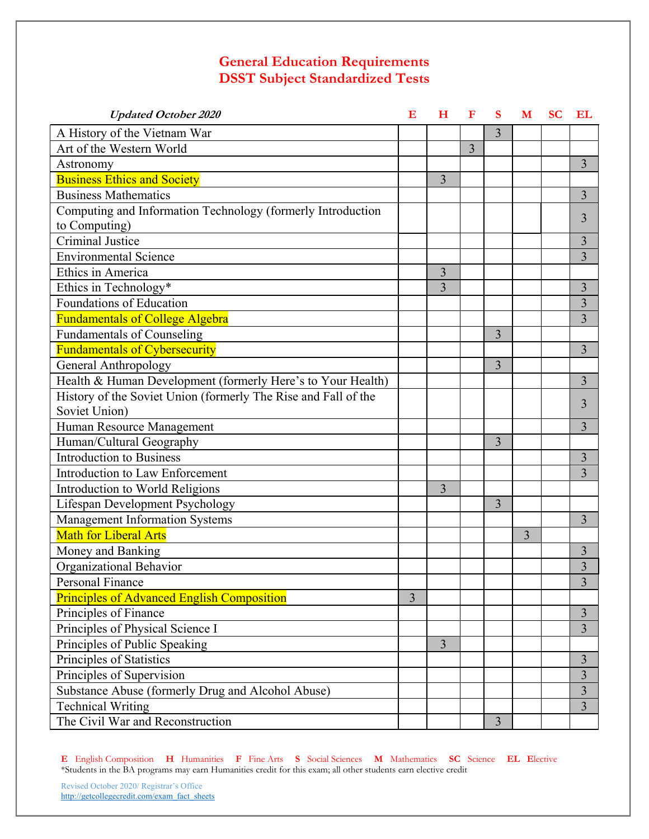# **General Education Requirements DSST Subject Standardized Tests**

| <b>Updated October 2020</b>                                    | Е | H              | F | $\mathbf S$    | M              | <b>SC</b> | <b>EL</b>               |
|----------------------------------------------------------------|---|----------------|---|----------------|----------------|-----------|-------------------------|
| A History of the Vietnam War                                   |   |                |   | 3              |                |           |                         |
| Art of the Western World                                       |   |                | 3 |                |                |           |                         |
| Astronomy                                                      |   |                |   |                |                |           | 3                       |
| <b>Business Ethics and Society</b>                             |   | 3              |   |                |                |           |                         |
| <b>Business Mathematics</b>                                    |   |                |   |                |                |           | $\overline{3}$          |
| Computing and Information Technology (formerly Introduction    |   |                |   |                |                |           |                         |
| to Computing)                                                  |   |                |   |                |                |           | 3                       |
| <b>Criminal Justice</b>                                        |   |                |   |                |                |           | 3                       |
| <b>Environmental Science</b>                                   |   |                |   |                |                |           | 3                       |
| Ethics in America                                              |   | 3              |   |                |                |           |                         |
| Ethics in Technology*                                          |   | 3              |   |                |                |           | 3                       |
| Foundations of Education                                       |   |                |   |                |                |           | 3                       |
| <b>Fundamentals of College Algebra</b>                         |   |                |   |                |                |           | 3                       |
| <b>Fundamentals of Counseling</b>                              |   |                |   | 3              |                |           |                         |
| <b>Fundamentals of Cybersecurity</b>                           |   |                |   |                |                |           | $\overline{3}$          |
| General Anthropology                                           |   |                |   | $\overline{3}$ |                |           |                         |
| Health & Human Development (formerly Here's to Your Health)    |   |                |   |                |                |           | 3                       |
| History of the Soviet Union (formerly The Rise and Fall of the |   |                |   |                |                |           |                         |
| Soviet Union)                                                  |   |                |   |                |                |           | 3                       |
| Human Resource Management                                      |   |                |   |                |                |           | 3                       |
| Human/Cultural Geography                                       |   |                |   | 3              |                |           |                         |
| <b>Introduction to Business</b>                                |   |                |   |                |                |           | 3                       |
| Introduction to Law Enforcement                                |   |                |   |                |                |           | 3                       |
| Introduction to World Religions                                |   | 3              |   |                |                |           |                         |
| Lifespan Development Psychology                                |   |                |   | $\overline{3}$ |                |           |                         |
| Management Information Systems                                 |   |                |   |                |                |           | 3                       |
| <b>Math for Liberal Arts</b>                                   |   |                |   |                | $\overline{3}$ |           |                         |
| Money and Banking                                              |   |                |   |                |                |           | 3                       |
| Organizational Behavior                                        |   |                |   |                |                |           | 3                       |
| Personal Finance                                               |   |                |   |                |                |           | $\overline{\mathbf{3}}$ |
| <b>Principles of Advanced English Composition</b>              | 3 |                |   |                |                |           |                         |
| Principles of Finance                                          |   |                |   |                |                |           | $\overline{3}$          |
| Principles of Physical Science I                               |   |                |   |                |                |           | $\overline{3}$          |
| Principles of Public Speaking                                  |   | $\overline{3}$ |   |                |                |           |                         |
| Principles of Statistics                                       |   |                |   |                |                |           | $\overline{3}$          |
| Principles of Supervision                                      |   |                |   |                |                |           | $\mathfrak{Z}$          |
| Substance Abuse (formerly Drug and Alcohol Abuse)              |   |                |   |                |                |           | $\overline{3}$          |
| <b>Technical Writing</b>                                       |   |                |   |                |                |           | $\overline{3}$          |
| The Civil War and Reconstruction                               |   |                |   | $\overline{3}$ |                |           |                         |

**E** English Composition **H** Humanities **F** Fine Arts **S** Social Sciences **M** Mathematics **SC** Science **EL E**lective \*Students in the BA programs may earn Humanities credit for this exam; all other students earn elective credit

Revised October 2020/ Registrar's Office http://getcollegecredit.com/exam\_fact\_sheets